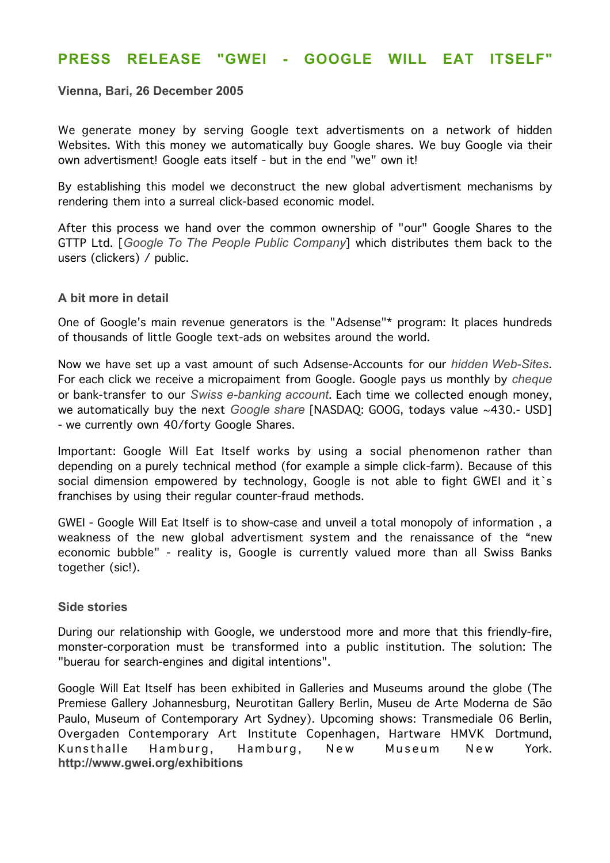# **PRESS RELEASE "GWEI - GOOGLE WILL EAT ITSELF"**

## **Vienna, Bari, 26 December 2005**

We generate money by serving Google text advertisments on a network of hidden Websites. With this money we automatically buy Google shares. We buy Google via their own advertisment! Google eats itself - but in the end "we" own it!

By establishing this model we deconstruct the new global advertisment mechanisms by rendering them into a surreal click-based economic model.

After this process we hand over the common ownership of "our" Google Shares to the GTTP Ltd. [*Google To The People Public Company*] which distributes them back to the users (clickers) / public.

### **A bit more in detail**

One of Google's main revenue generators is the "Adsense"\* program: It places hundreds of thousands of little Google text-ads on websites around the world.

Now we have set up a vast amount of such Adsense-Accounts for our *hidden Web-Sites*. For each click we receive a micropaiment from Google. Google pays us monthly by *cheque* or bank-transfer to our *Swiss e-banking account*. Each time we collected enough money, we automatically buy the next *Google share* [NASDAQ: GOOG, todays value ~430.- USD] - we currently own 40/forty Google Shares.

Important: Google Will Eat Itself works by using a social phenomenon rather than depending on a purely technical method (for example a simple click-farm). Because of this social dimension empowered by technology, Google is not able to fight GWEI and it's franchises by using their regular counter-fraud methods.

GWEI - Google Will Eat Itself is to show-case and unveil a total monopoly of information , a weakness of the new global advertisment system and the renaissance of the "new economic bubble" - reality is, Google is currently valued more than all Swiss Banks together (sic!).

### **Side stories**

During our relationship with Google, we understood more and more that this friendly-fire, monster-corporation must be transformed into a public institution. The solution: The "buerau for search-engines and digital intentions".

Google Will Eat Itself has been exhibited in Galleries and Museums around the globe (The Premiese Gallery Johannesburg, Neurotitan Gallery Berlin, Museu de Arte Moderna de São Paulo, Museum of Contemporary Art Sydney). Upcoming shows: Transmediale 06 Berlin, Overgaden Contemporary Art Institute Copenhagen, Hartware HMVK Dortmund, Kunsthalle Hamburg, Hamburg, New Museum New York. **http://www.gwei.org/exhibitions**